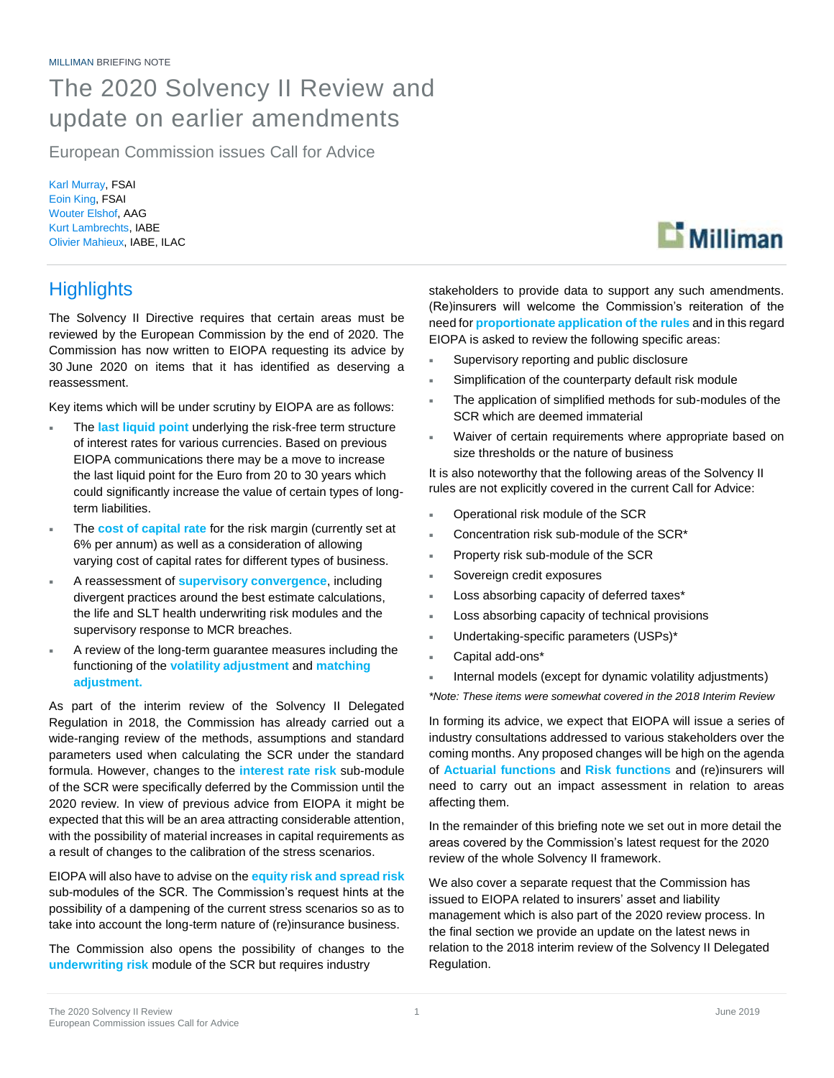## The 2020 Solvency II Review and update on earlier amendments

European Commission issues Call for Advice

Karl Murray, FSAI Eoin King, FSAI Wouter Elshof, AAG Kurt Lambrechts, IABE Olivier Mahieux, IABE, ILAC

### **Highlights**

The Solvency II Directive requires that certain areas must be reviewed by the European Commission by the end of 2020. The Commission has now written to EIOPA requesting its advice by 30 June 2020 on items that it has identified as deserving a reassessment.

Key items which will be under scrutiny by EIOPA are as follows:

- The **last liquid point** underlying the risk-free term structure of interest rates for various currencies. Based on previous EIOPA communications there may be a move to increase the last liquid point for the Euro from 20 to 30 years which could significantly increase the value of certain types of longterm liabilities.
- The **cost of capital rate** for the risk margin (currently set at 6% per annum) as well as a consideration of allowing varying cost of capital rates for different types of business.
- A reassessment of **supervisory convergence**, including divergent practices around the best estimate calculations, the life and SLT health underwriting risk modules and the supervisory response to MCR breaches.
- A review of the long-term guarantee measures including the functioning of the **volatility adjustment** and **matching adjustment.**

As part of the interim review of the Solvency II Delegated Regulation in 2018, the Commission has already carried out a wide-ranging review of the methods, assumptions and standard parameters used when calculating the SCR under the standard formula. However, changes to the **interest rate risk** sub-module of the SCR were specifically deferred by the Commission until the 2020 review. In view of previous advice from EIOPA it might be expected that this will be an area attracting considerable attention, with the possibility of material increases in capital requirements as a result of changes to the calibration of the stress scenarios.

EIOPA will also have to advise on the **equity risk and spread risk**  sub-modules of the SCR. The Commission's request hints at the possibility of a dampening of the current stress scenarios so as to take into account the long-term nature of (re)insurance business.

The Commission also opens the possibility of changes to the **underwriting risk** module of the SCR but requires industry

stakeholders to provide data to support any such amendments. (Re)insurers will welcome the Commission's reiteration of the need for **proportionate application of the rules** and in this regard EIOPA is asked to review the following specific areas:

- Supervisory reporting and public disclosure
- Simplification of the counterparty default risk module
- The application of simplified methods for sub-modules of the SCR which are deemed immaterial
- Waiver of certain requirements where appropriate based on size thresholds or the nature of business

It is also noteworthy that the following areas of the Solvency II rules are not explicitly covered in the current Call for Advice:

- Operational risk module of the SCR
- Concentration risk sub-module of the SCR\*
- Property risk sub-module of the SCR
- Sovereign credit exposures
- Loss absorbing capacity of deferred taxes\*
- Loss absorbing capacity of technical provisions
- Undertaking-specific parameters (USPs)\*
- Capital add-ons\*
- Internal models (except for dynamic volatility adjustments)

*\*Note: These items were somewhat covered in the 2018 Interim Review*

In forming its advice, we expect that EIOPA will issue a series of industry consultations addressed to various stakeholders over the coming months. Any proposed changes will be high on the agenda of **Actuarial functions** and **Risk functions** and (re)insurers will need to carry out an impact assessment in relation to areas affecting them.

In the remainder of this briefing note we set out in more detail the areas covered by the Commission's latest request for the 2020 review of the whole Solvency II framework.

We also cover a separate request that the Commission has issued to EIOPA related to insurers' asset and liability management which is also part of the 2020 review process. In the final section we provide an update on the latest news in relation to the 2018 interim review of the Solvency II Delegated Regulation.

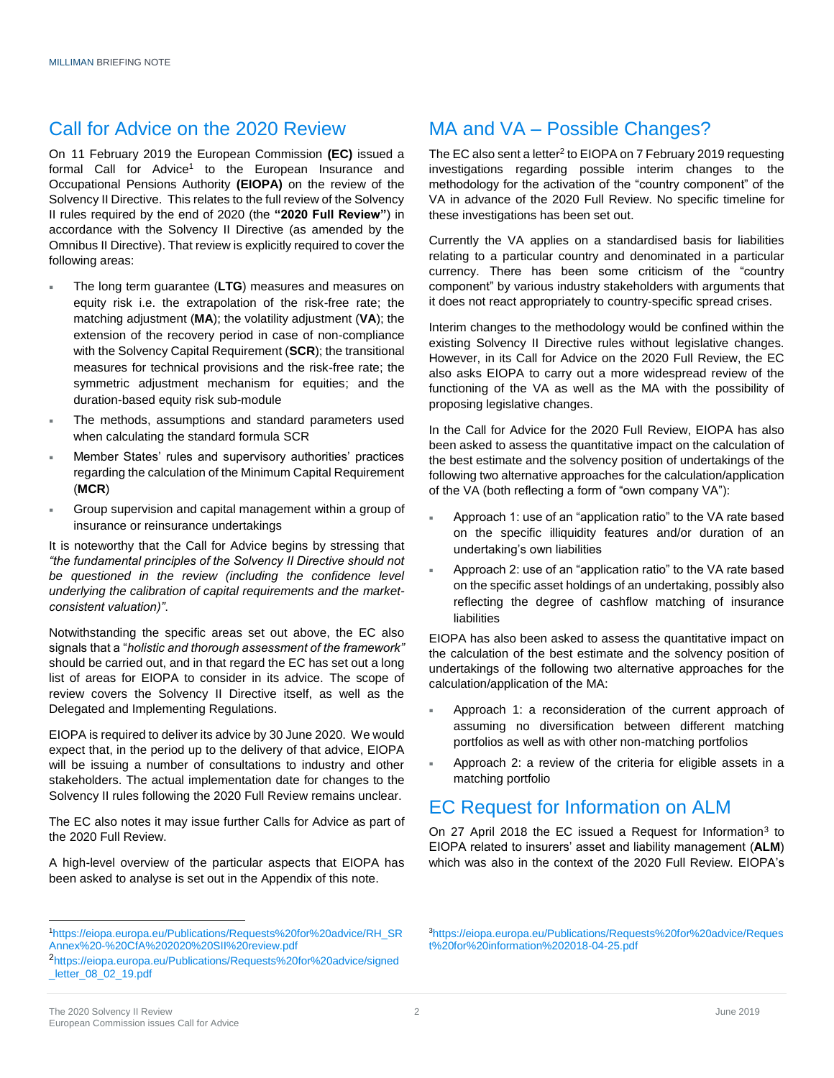### Call for Advice on the 2020 Review

On 11 February 2019 the European Commission **(EC)** issued a formal Call for Advice<sup>1</sup> to the European Insurance and Occupational Pensions Authority **(EIOPA)** on the review of the Solvency II Directive. This relates to the full review of the Solvency II rules required by the end of 2020 (the **"2020 Full Review"**) in accordance with the Solvency II Directive (as amended by the Omnibus II Directive). That review is explicitly required to cover the following areas:

- The long term guarantee (**LTG**) measures and measures on equity risk i.e. the extrapolation of the risk-free rate; the matching adjustment (**MA**); the volatility adjustment (**VA**); the extension of the recovery period in case of non-compliance with the Solvency Capital Requirement (**SCR**); the transitional measures for technical provisions and the risk-free rate; the symmetric adjustment mechanism for equities; and the duration-based equity risk sub-module
- The methods, assumptions and standard parameters used when calculating the standard formula SCR
- Member States' rules and supervisory authorities' practices regarding the calculation of the Minimum Capital Requirement (**MCR**)
- Group supervision and capital management within a group of insurance or reinsurance undertakings

It is noteworthy that the Call for Advice begins by stressing that *"the fundamental principles of the Solvency II Directive should not*  be questioned in the review (including the confidence level *underlying the calibration of capital requirements and the marketconsistent valuation)"*.

Notwithstanding the specific areas set out above, the EC also signals that a "*holistic and thorough assessment of the framework"* should be carried out, and in that regard the EC has set out a long list of areas for EIOPA to consider in its advice. The scope of review covers the Solvency II Directive itself, as well as the Delegated and Implementing Regulations.

EIOPA is required to deliver its advice by 30 June 2020. We would expect that, in the period up to the delivery of that advice, EIOPA will be issuing a number of consultations to industry and other stakeholders. The actual implementation date for changes to the Solvency II rules following the 2020 Full Review remains unclear.

The EC also notes it may issue further Calls for Advice as part of the 2020 Full Review.

A high-level overview of the particular aspects that EIOPA has been asked to analyse is set out in the Appendix of this note.

### MA and VA – Possible Changes?

The EC also sent a letter<sup>2</sup> to EIOPA on 7 February 2019 requesting investigations regarding possible interim changes to the methodology for the activation of the "country component" of the VA in advance of the 2020 Full Review. No specific timeline for these investigations has been set out.

Currently the VA applies on a standardised basis for liabilities relating to a particular country and denominated in a particular currency. There has been some criticism of the "country component" by various industry stakeholders with arguments that it does not react appropriately to country-specific spread crises.

Interim changes to the methodology would be confined within the existing Solvency II Directive rules without legislative changes. However, in its Call for Advice on the 2020 Full Review, the EC also asks EIOPA to carry out a more widespread review of the functioning of the VA as well as the MA with the possibility of proposing legislative changes.

In the Call for Advice for the 2020 Full Review, EIOPA has also been asked to assess the quantitative impact on the calculation of the best estimate and the solvency position of undertakings of the following two alternative approaches for the calculation/application of the VA (both reflecting a form of "own company VA"):

- Approach 1: use of an "application ratio" to the VA rate based on the specific illiquidity features and/or duration of an undertaking's own liabilities
- Approach 2: use of an "application ratio" to the VA rate based on the specific asset holdings of an undertaking, possibly also reflecting the degree of cashflow matching of insurance liabilities

EIOPA has also been asked to assess the quantitative impact on the calculation of the best estimate and the solvency position of undertakings of the following two alternative approaches for the calculation/application of the MA:

- Approach 1: a reconsideration of the current approach of assuming no diversification between different matching portfolios as well as with other non-matching portfolios
- Approach 2: a review of the criteria for eligible assets in a matching portfolio

### EC Request for Information on ALM

On 27 April 2018 the EC issued a Request for Information<sup>3</sup> to EIOPA related to insurers' asset and liability management (**ALM**) which was also in the context of the 2020 Full Review. EIOPA's

 $\overline{a}$ 

<sup>1</sup>[https://eiopa.europa.eu/Publications/Requests%20for%20advice/RH\\_SR](https://eiopa.europa.eu/Publications/Requests%20for%20advice/RH_SRAnnex%20-%20CfA%202020%20SII%20review.pdf) [Annex%20-%20CfA%202020%20SII%20review.pdf](https://eiopa.europa.eu/Publications/Requests%20for%20advice/RH_SRAnnex%20-%20CfA%202020%20SII%20review.pdf)

<sup>2</sup>[https://eiopa.europa.eu/Publications/Requests%20for%20advice/signed](https://eiopa.europa.eu/Publications/Requests%20for%20advice/signed_letter_08_02_19.pdf) [\\_letter\\_08\\_02\\_19.pdf](https://eiopa.europa.eu/Publications/Requests%20for%20advice/signed_letter_08_02_19.pdf)

<sup>3</sup>[https://eiopa.europa.eu/Publications/Requests%20for%20advice/Reques](https://eiopa.europa.eu/Publications/Requests%20for%20advice/Request%20for%20information%202018-04-25.pdf) [t%20for%20information%202018-04-25.pdf](https://eiopa.europa.eu/Publications/Requests%20for%20advice/Request%20for%20information%202018-04-25.pdf)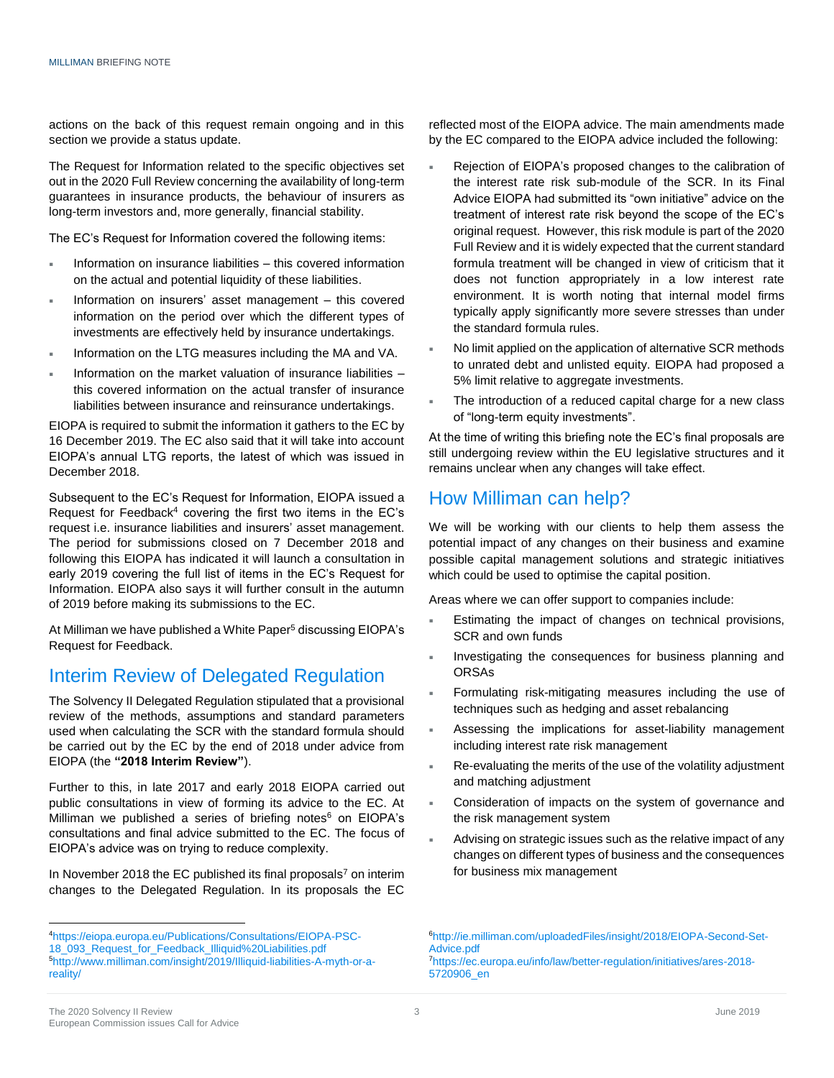actions on the back of this request remain ongoing and in this section we provide a status update.

The Request for Information related to the specific objectives set out in the 2020 Full Review concerning the availability of long-term guarantees in insurance products, the behaviour of insurers as long-term investors and, more generally, financial stability.

The EC's Request for Information covered the following items:

- Information on insurance liabilities this covered information on the actual and potential liquidity of these liabilities.
- Information on insurers' asset management this covered information on the period over which the different types of investments are effectively held by insurance undertakings.
- Information on the LTG measures including the MA and VA.
- Information on the market valuation of insurance liabilities this covered information on the actual transfer of insurance liabilities between insurance and reinsurance undertakings.

EIOPA is required to submit the information it gathers to the EC by 16 December 2019. The EC also said that it will take into account EIOPA's annual LTG reports, the latest of which was issued in December 2018.

Subsequent to the EC's Request for Information, EIOPA issued a Request for Feedback $4$  covering the first two items in the EC's request i.e. insurance liabilities and insurers' asset management. The period for submissions closed on 7 December 2018 and following this EIOPA has indicated it will launch a consultation in early 2019 covering the full list of items in the EC's Request for Information. EIOPA also says it will further consult in the autumn of 2019 before making its submissions to the EC.

At Milliman we have published a White Paper<sup>5</sup> discussing EIOPA's Request for Feedback.

### Interim Review of Delegated Regulation

The Solvency II Delegated Regulation stipulated that a provisional review of the methods, assumptions and standard parameters used when calculating the SCR with the standard formula should be carried out by the EC by the end of 2018 under advice from EIOPA (the **"2018 Interim Review"**).

Further to this, in late 2017 and early 2018 EIOPA carried out public consultations in view of forming its advice to the EC. At Milliman we published a series of briefing notes $6$  on EIOPA's consultations and final advice submitted to the EC. The focus of EIOPA's advice was on trying to reduce complexity.

In November 2018 the EC published its final proposals<sup>7</sup> on interim changes to the Delegated Regulation. In its proposals the EC

reflected most of the EIOPA advice. The main amendments made by the EC compared to the EIOPA advice included the following:

- Rejection of EIOPA's proposed changes to the calibration of the interest rate risk sub-module of the SCR. In its Final Advice EIOPA had submitted its "own initiative" advice on the treatment of interest rate risk beyond the scope of the EC's original request. However, this risk module is part of the 2020 Full Review and it is widely expected that the current standard formula treatment will be changed in view of criticism that it does not function appropriately in a low interest rate environment. It is worth noting that internal model firms typically apply significantly more severe stresses than under the standard formula rules.
- No limit applied on the application of alternative SCR methods to unrated debt and unlisted equity. EIOPA had proposed a 5% limit relative to aggregate investments.
- The introduction of a reduced capital charge for a new class of "long-term equity investments".

At the time of writing this briefing note the EC's final proposals are still undergoing review within the EU legislative structures and it remains unclear when any changes will take effect.

### How Milliman can help?

We will be working with our clients to help them assess the potential impact of any changes on their business and examine possible capital management solutions and strategic initiatives which could be used to optimise the capital position.

Areas where we can offer support to companies include:

- Estimating the impact of changes on technical provisions, SCR and own funds
- Investigating the consequences for business planning and **ORSAs**
- Formulating risk-mitigating measures including the use of techniques such as hedging and asset rebalancing
- Assessing the implications for asset-liability management including interest rate risk management
- Re-evaluating the merits of the use of the volatility adjustment and matching adjustment
- Consideration of impacts on the system of governance and the risk management system
- Advising on strategic issues such as the relative impact of any changes on different types of business and the consequences for business mix management

<sup>7</sup>[https://ec.europa.eu/info/law/better-regulation/initiatives/ares-2018-](https://ec.europa.eu/info/law/better-regulation/initiatives/ares-2018-5720906_en) [5720906\\_en](https://ec.europa.eu/info/law/better-regulation/initiatives/ares-2018-5720906_en) 

<sup>4</sup>[https://eiopa.europa.eu/Publications/Consultations/EIOPA-PSC-](https://eiopa.europa.eu/Publications/Consultations/EIOPA-PSC-18_093_Request_for_Feedback_Illiquid%20Liabilities.pdf)18\_093\_Request\_for\_Feedback\_Illiquid%20Liabilities.pdf 5[http://www.milliman.com/insight/2019/Illiquid-liabilities-A-myth-or-a](http://www.milliman.com/insight/2019/Illiquid-liabilities-A-myth-or-a-reality/)[reality/](http://www.milliman.com/insight/2019/Illiquid-liabilities-A-myth-or-a-reality/)

<sup>6</sup>[http://ie.milliman.com/uploadedFiles/insight/2018/EIOPA-Second-Set-](http://ie.milliman.com/uploadedFiles/insight/2018/EIOPA-Second-Set-Advice.pdf)Advice ndf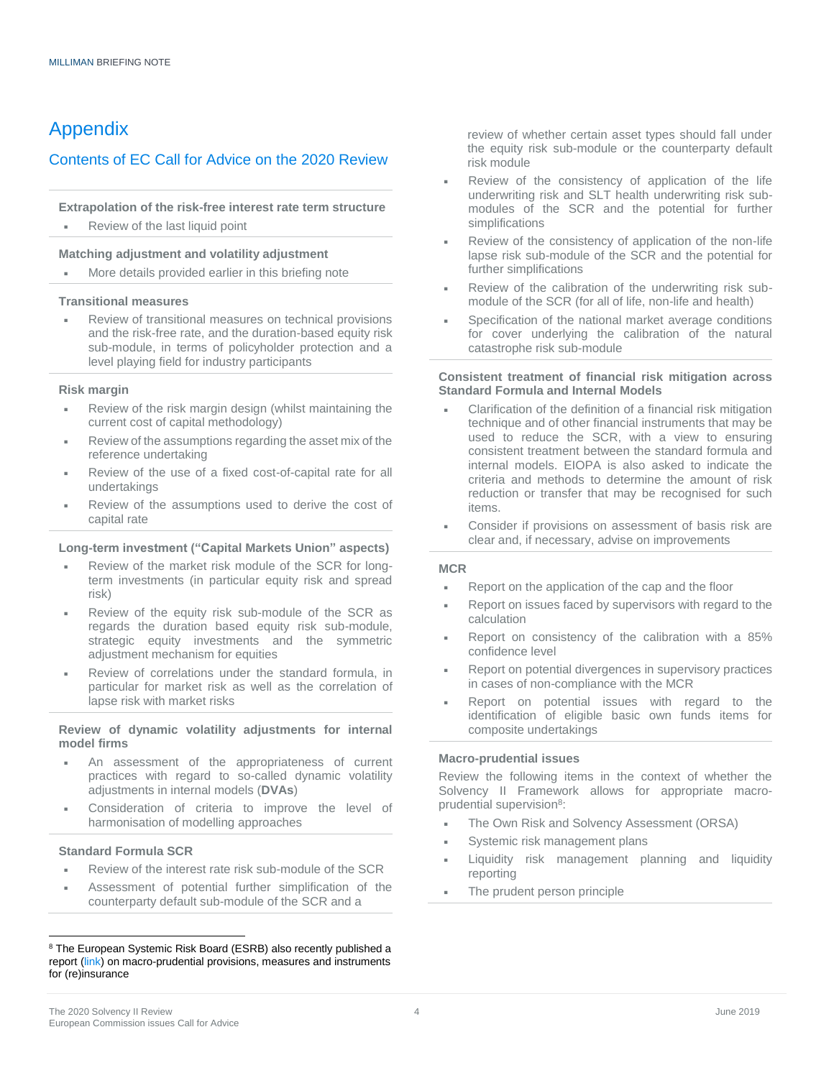### Appendix

#### Contents of EC Call for Advice on the 2020 Review

#### **Extrapolation of the risk-free interest rate term structure**

Review of the last liquid point

#### **Matching adjustment and volatility adjustment**

More details provided earlier in this briefing note

#### **Transitional measures**

 Review of transitional measures on technical provisions and the risk-free rate, and the duration-based equity risk sub-module, in terms of policyholder protection and a level playing field for industry participants

#### **Risk margin**

- Review of the risk margin design (whilst maintaining the current cost of capital methodology)
- Review of the assumptions regarding the asset mix of the reference undertaking
- Review of the use of a fixed cost-of-capital rate for all undertakings
- Review of the assumptions used to derive the cost of capital rate

#### **Long-term investment ("Capital Markets Union" aspects)**

- Review of the market risk module of the SCR for longterm investments (in particular equity risk and spread risk)
- Review of the equity risk sub-module of the SCR as regards the duration based equity risk sub-module, strategic equity investments and the symmetric adjustment mechanism for equities
- Review of correlations under the standard formula, in particular for market risk as well as the correlation of lapse risk with market risks

#### **Review of dynamic volatility adjustments for internal model firms**

- An assessment of the appropriateness of current practices with regard to so-called dynamic volatility adjustments in internal models (**DVAs**)
- Consideration of criteria to improve the level of harmonisation of modelling approaches

#### **Standard Formula SCR**

 $\overline{a}$ 

- Review of the interest rate risk sub-module of the SCR
- Assessment of potential further simplification of the counterparty default sub-module of the SCR and a

review of whether certain asset types should fall under the equity risk sub-module or the counterparty default risk module

- Review of the consistency of application of the life underwriting risk and SLT health underwriting risk submodules of the SCR and the potential for further simplifications
- Review of the consistency of application of the non-life lapse risk sub-module of the SCR and the potential for further simplifications
- Review of the calibration of the underwriting risk submodule of the SCR (for all of life, non-life and health)
- Specification of the national market average conditions for cover underlying the calibration of the natural catastrophe risk sub-module

#### **Consistent treatment of financial risk mitigation across Standard Formula and Internal Models**

- Clarification of the definition of a financial risk mitigation technique and of other financial instruments that may be used to reduce the SCR, with a view to ensuring consistent treatment between the standard formula and internal models. EIOPA is also asked to indicate the criteria and methods to determine the amount of risk reduction or transfer that may be recognised for such items.
- Consider if provisions on assessment of basis risk are clear and, if necessary, advise on improvements

#### **MCR**

- Report on the application of the cap and the floor
- Report on issues faced by supervisors with regard to the calculation
- Report on consistency of the calibration with a 85% confidence level
- Report on potential divergences in supervisory practices in cases of non-compliance with the MCR
- Report on potential issues with regard to the identification of eligible basic own funds items for composite undertakings

#### **Macro-prudential issues**

Review the following items in the context of whether the Solvency II Framework allows for appropriate macroprudential supervision<sup>8</sup>:

- The Own Risk and Solvency Assessment (ORSA)
- Systemic risk management plans
- Liquidity risk management planning and liquidity reporting
- **The prudent person principle**

<sup>&</sup>lt;sup>8</sup> The European Systemic Risk Board (ESRB) also recently published a report [\(link\)](https://www.esrb.europa.eu/pub/pdf/reports/esrb.report181126_macroprudential_provisions_measures_and_instruments_for_insurance.en.pdf) on macro-prudential provisions, measures and instruments for (re)insurance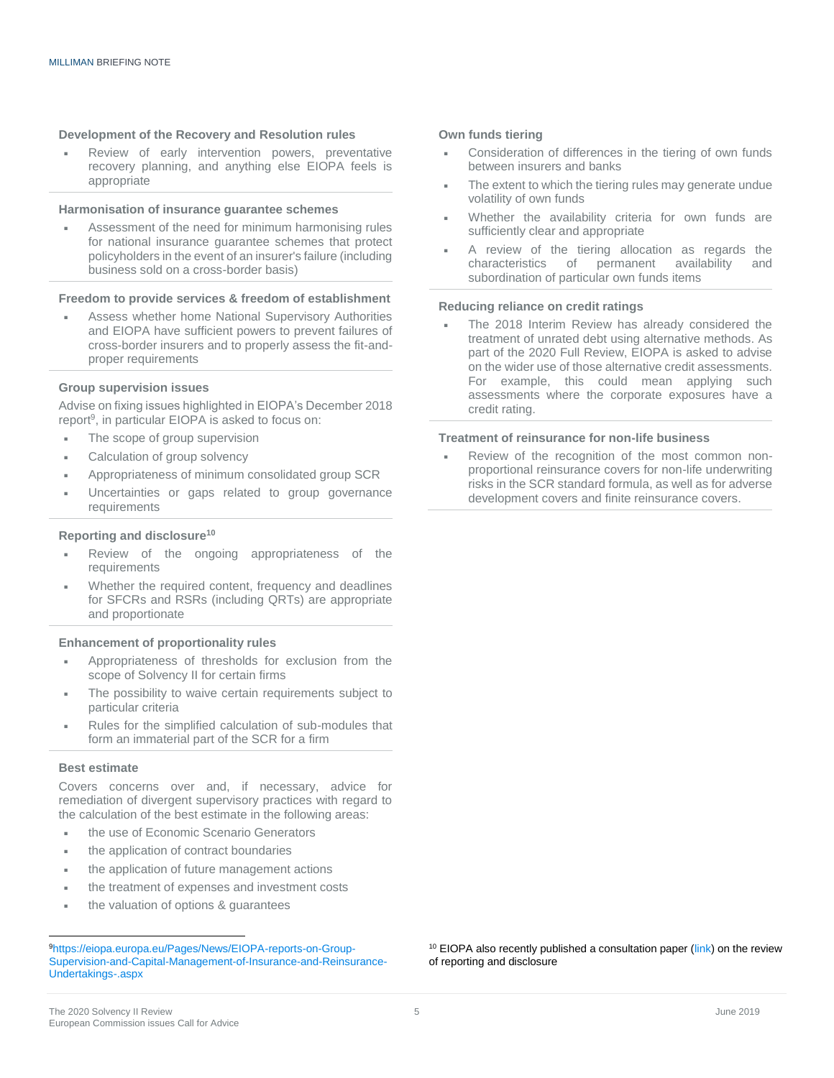#### **Development of the Recovery and Resolution rules**

 Review of early intervention powers, preventative recovery planning, and anything else EIOPA feels is appropriate

#### **Harmonisation of insurance guarantee schemes**

 Assessment of the need for minimum harmonising rules for national insurance guarantee schemes that protect policyholders in the event of an insurer's failure (including business sold on a cross-border basis)

#### **Freedom to provide services & freedom of establishment**

 Assess whether home National Supervisory Authorities and EIOPA have sufficient powers to prevent failures of cross-border insurers and to properly assess the fit-andproper requirements

#### **Group supervision issues**

Advise on fixing issues highlighted in EIOPA's December 2018 report<sup>9</sup>, in particular EIOPA is asked to focus on:

- The scope of group supervision
- Calculation of group solvency
- Appropriateness of minimum consolidated group SCR
- Uncertainties or gaps related to group governance requirements

#### **Reporting and disclosure<sup>10</sup>**

- Review of the ongoing appropriateness of the requirements
- Whether the required content, frequency and deadlines for SFCRs and RSRs (including QRTs) are appropriate and proportionate

#### **Enhancement of proportionality rules**

- Appropriateness of thresholds for exclusion from the scope of Solvency II for certain firms
- The possibility to waive certain requirements subject to particular criteria
- Rules for the simplified calculation of sub-modules that form an immaterial part of the SCR for a firm

#### **Best estimate**

 $\overline{a}$ 

Covers concerns over and, if necessary, advice for remediation of divergent supervisory practices with regard to the calculation of the best estimate in the following areas:

- the use of Economic Scenario Generators
- the application of contract boundaries
- the application of future management actions
- the treatment of expenses and investment costs
- the valuation of options & guarantees

#### **Own funds tiering**

- Consideration of differences in the tiering of own funds between insurers and banks
- The extent to which the tiering rules may generate undue volatility of own funds
- Whether the availability criteria for own funds are sufficiently clear and appropriate
- A review of the tiering allocation as regards the characteristics of permanent availability and characteristics of permanent availability and subordination of particular own funds items

#### **Reducing reliance on credit ratings**

 The 2018 Interim Review has already considered the treatment of unrated debt using alternative methods. As part of the 2020 Full Review, EIOPA is asked to advise on the wider use of those alternative credit assessments. For example, this could mean applying such assessments where the corporate exposures have a credit rating.

#### **Treatment of reinsurance for non-life business**

 Review of the recognition of the most common nonproportional reinsurance covers for non-life underwriting risks in the SCR standard formula, as well as for adverse development covers and finite reinsurance covers.

 $10$  EIOPA also recently published a consultation paper [\(link\)](https://eiopa.europa.eu/Publications/Consultations/Call%20for%20input_reporting_disclosure%20review%202020.pdf) on the review of reporting and disclosure

<sup>9</sup>[https://eiopa.europa.eu/Pages/News/EIOPA-reports-on-Group-](https://eiopa.europa.eu/Pages/News/EIOPA-reports-on-Group-Supervision-and-Capital-Management-of-Insurance-and-Reinsurance-Undertakings-.aspx)[Supervision-and-Capital-Management-of-Insurance-and-Reinsurance-](https://eiopa.europa.eu/Pages/News/EIOPA-reports-on-Group-Supervision-and-Capital-Management-of-Insurance-and-Reinsurance-Undertakings-.aspx)[Undertakings-.aspx](https://eiopa.europa.eu/Pages/News/EIOPA-reports-on-Group-Supervision-and-Capital-Management-of-Insurance-and-Reinsurance-Undertakings-.aspx)